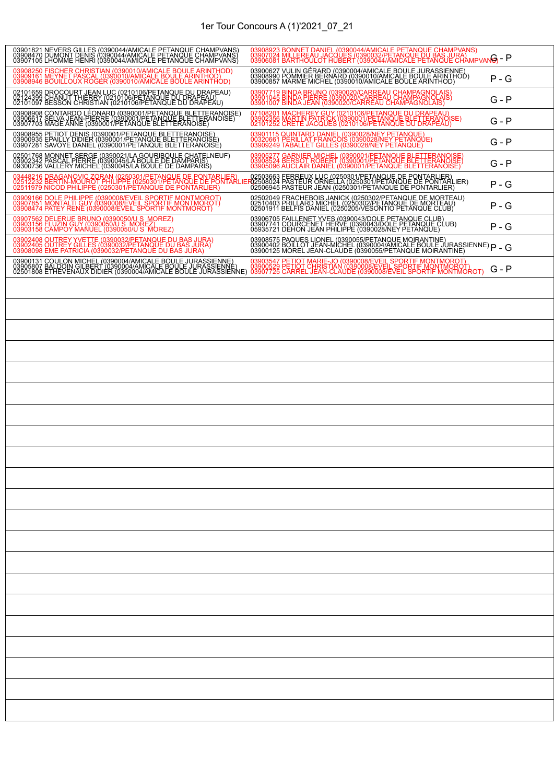| 03901821 NEVERS GILLES (0390044/AMICALE PETANOUE CHAMPVANS)<br>03908470 DUMONT DENIS (0390044/AMICALE PETANOUE CHAMPVANS)<br>03907105 LHOMME HENRI (0390044/AMICALE PETANOUE CHAMPVANS)                                           | 03908923 BONNET DANIEL (0390044/AMICALE PETANQUE CHAMPVANS)<br>03907024 MILLEREAU JACQUES (0390032/PETANQUE DU BAS, JURA)<br>03906081 BARTHOULOT HUBERT (0390044/AMICALE PETANQUE CHAMPVANG) - P                                  |         |
|-----------------------------------------------------------------------------------------------------------------------------------------------------------------------------------------------------------------------------------|-----------------------------------------------------------------------------------------------------------------------------------------------------------------------------------------------------------------------------------|---------|
| 03908250 FISCHER CHRISTIAN (0390010/AMICALE BOULE ARINTHOD)<br>03909161 MEYNET PASCAL (0390010/AMICALE BOULE ARINTHOD)<br>03908946 BOUILLOUX ROGER (0390010/AMICALE BOULE ARINTHOD)                                               | 03900627 VULIN GÉRARD (0390004/AMICALE BOULE JURASSIENNE)<br>03908990 POMMIER BERNARD (0390010/AMICALE BOULE ARINTHOD)<br>03900857 MARME MICHEL (0390010/AMICALE BOULE ARINTHOD)                                                  | P - G   |
| 02101659 DROCOURT JEAN LUC (0210106/PETANQUE DU DRAPEAU)<br>021243990 CHANUT HHERRY (021016/PETANQUE DU DRAPEAU)<br>02101097 BESSON CHRISTIAN (0210106/PETANQUE DU DRAPEAU)                                                       | 03907719 BINDA BRUNO (0390020/CARREAU CHAMPAGNOLAIS)<br>03901045 BINDA PIERRE (0390020/CARREAU CHAMPAGNOLAIS)<br>03901007 BINDA JEAN (0390020/CARREAU CHAMPAGNOLAIS)                                                              | G - P   |
| 03908908 CONTARDO LÉONARD (0390001/PETANOUE BLETTERANOISE)<br>03906617 SELVA JEAN-PIERRE (0390001/PETANOUE BLETTERANOISE)<br>03907703 MAGE ANNE (0390001/PETANQUE BLETTERANOISE)                                                  | 07108201 MACHEREY GUY (0210106/PETANQUE DU DRAPEAU)<br>03902356 MARTIN PATRICK (0390001/PETANQUE BLETTERANOISE)<br>02101252 CRETE JACQUES (0210106/PETANQUE DU DRAPEAU)                                                           | G - P   |
| 03908955 PETIOT DENIS (0390001/PETANQUE BLETTERANOISE)<br>03900935 EPAILLY DIDIER (0390001/PETANQUE BLETTERANOISE)<br>03907281 SAVOYE DANIEL (0390001/PETANQUE BLETTERANOISE)                                                     | 03901115 QUINTARD DANIEL (0390028/NEY PETANQUE)<br>00320661 PERILLAT FRANCOIS (0390028/NEY PETANQUE)<br>03909249 TABALLET GILLES (0390028/NEY PETANQUE)                                                                           | $G - P$ |
| 02501768 MONNET SERGE (0390021/LA GOURIBOULE CHATELNEUF)<br>03902342 PASCAL PIERRE (0390045/LA BOULE DE DAMPARIS)<br>09300736 VALLERY MICHEL (0390045/LA BOULE DE DAMPARIS)                                                       | 03905277 GARNIER MICHEL (0390001/PETANQUE BLETTERANOISE)<br>03908524 BERSOT ROBERT (0390001/PETANQUE BLETTERANOISE)<br>03905096 AUCLAIR DANIEL (0390001/PETANQUE BLETTERANOISE)                                                   | G - P   |
| 03448216 DRAGANOVIC ZORAN (0250301/PETANOUE DE PONTARLIER) — 02503663 FERREUX LUC (0250301/PETANOUE DE PONTARLIER)<br>02512232 BERTIN-MOUROT PHILIPPE (0250301/PETANOUE DE PONTARLIER)2508024 PASTEUR ORNELLA (0250301/PETANOUE D |                                                                                                                                                                                                                                   | P - G   |
| 03909166 DOLE PHILIPPE (0390008/EVEIL SPORTIF MONTMOROT)<br>03907851 MONTALTI GUY (0390008/EVEIL SPORTIF MONTMOROT)<br>03908474 PATEY RENE (0390008/EVEIL SPORTIF MONTMOROT)                                                      | 02502049 FRACHEBOIS JANICK (0250302/PETANOUE DE MORTEAU)<br>02510403 FRILLARD MICHEL (0250302/PETANOUE DE MORTEAU)<br>02501911 BELFIS DANIEL (0250205/VESONTIO PETANQUE CLUB)                                                     | P - G   |
| 03907562 DELERUE BRUNO (0390050/U S_MOREZ)<br>03903156 FLUZIN GUY (0390050/U S_MOREZ)<br>03903158 CAMPOY MANUEL (0390050/U S MOREZ)                                                                                               | 03906705 FAILLENET YVES (0390043/DOLE PETANQUE CLUB)<br>03907741 COURCENET HERVE (0390043/DOLE PETANQUE CLUB)<br>05935721 DEHON JEAN PHILIPPE (0390028/NEY PETANQUE)                                                              | P - G   |
| 03902408 OUTREY YVETTE (0390032/PETANQUE DU BAS JURA)<br>03902405 OUTREY GILLES (0390032/PETANQUE DU BAS JURA)<br>03908098 EME PATRICIA (0390032/PETANQUE DU BAS JURA)                                                            | 03908575 PAQUES LIONEL (0390055/PETANQUE MOIRANTINE)<br>03900402 BOILLOT JEAN-MICHEL (0390004/AMICALE BOULE JURASSIENNE) P - G<br>03900125 MOREL JEAN-CLAUDE (0390055/PETANQUE MOIRANTINE)                                        |         |
|                                                                                                                                                                                                                                   | 03900131 COULON MICHEL (0390004/AMICALE BOULE JURASSIENNE)   03903547 PETIOT MARIE-JO (0390008/EVEIL SPORTIF MONTMOROT)<br>03905807 BALDOIN GILBERT (0390004/AMICALE BOULE JURASSIENNE)   03900529 PETIOT CHRISTIAN (0390008/EVEI | G - P   |
|                                                                                                                                                                                                                                   |                                                                                                                                                                                                                                   |         |
|                                                                                                                                                                                                                                   |                                                                                                                                                                                                                                   |         |
|                                                                                                                                                                                                                                   |                                                                                                                                                                                                                                   |         |
|                                                                                                                                                                                                                                   |                                                                                                                                                                                                                                   |         |
|                                                                                                                                                                                                                                   |                                                                                                                                                                                                                                   |         |
|                                                                                                                                                                                                                                   |                                                                                                                                                                                                                                   |         |
|                                                                                                                                                                                                                                   |                                                                                                                                                                                                                                   |         |
|                                                                                                                                                                                                                                   |                                                                                                                                                                                                                                   |         |
|                                                                                                                                                                                                                                   |                                                                                                                                                                                                                                   |         |
|                                                                                                                                                                                                                                   |                                                                                                                                                                                                                                   |         |
|                                                                                                                                                                                                                                   |                                                                                                                                                                                                                                   |         |
|                                                                                                                                                                                                                                   |                                                                                                                                                                                                                                   |         |
|                                                                                                                                                                                                                                   |                                                                                                                                                                                                                                   |         |
|                                                                                                                                                                                                                                   |                                                                                                                                                                                                                                   |         |
|                                                                                                                                                                                                                                   |                                                                                                                                                                                                                                   |         |
|                                                                                                                                                                                                                                   |                                                                                                                                                                                                                                   |         |
|                                                                                                                                                                                                                                   |                                                                                                                                                                                                                                   |         |
|                                                                                                                                                                                                                                   |                                                                                                                                                                                                                                   |         |
|                                                                                                                                                                                                                                   |                                                                                                                                                                                                                                   |         |
|                                                                                                                                                                                                                                   |                                                                                                                                                                                                                                   |         |
|                                                                                                                                                                                                                                   |                                                                                                                                                                                                                                   |         |
|                                                                                                                                                                                                                                   |                                                                                                                                                                                                                                   |         |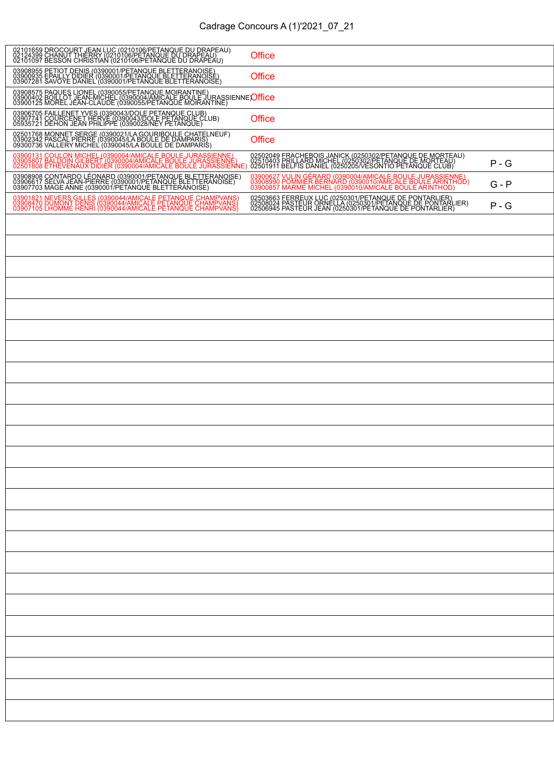| 02101659 DROCOURT JEAN LUC (0210106/PETANQUE DU DRAPEAU)<br>02124399 CHANUT HHERRY (0210106/PETANQUE DU DRAPEAU)<br>02101097 BESSON CHRISTIAN (0210106/PETANQUE DU DRAPEAU)                        | <b>Office</b>                                                                                                                                                                    |         |
|----------------------------------------------------------------------------------------------------------------------------------------------------------------------------------------------------|----------------------------------------------------------------------------------------------------------------------------------------------------------------------------------|---------|
| 03908955 PETIOT DENIS (0390001/PETANQUE BLETTERANOISE)<br>03900935 EPAILLY DIDIER (0390001/PETANQUE BLETTERANOISE)<br>03907281 SAVOYE DANIEL (0390001/PETANQUE BLETTERANOISE)                      | <b>Office</b>                                                                                                                                                                    |         |
| 03908575 PAQUES LIONEL (0390055/PETANQUE MOIRANTINE)<br>03900402 BOILLOT JEAN-MICHEL (0390064/AMICALE BOULE JURASSIENNE <b>'Office</b><br>03900125 MOREL JEAN-CLAUDE (0390055/PETANQUE MOIRANTINE) |                                                                                                                                                                                  |         |
| 03906705 FAILLENET YVES (0390043/DOLE PETANQUE CLUB)<br>03907741 COURCENET HERVE (0390043/DOLE PETANQUE CLUB)<br>05935721 DEHON JEAN PHILIPPE (0390028/NEY PETANQUE)                               | Office                                                                                                                                                                           |         |
| 02501768 MONNET SERGE (0390021/LA GOURIBOULE CHATELNEUF)<br>03902342 PASCAL PIERRE (0390045/LA BOULE DE DAMPARIS)<br>09300736 VALLERY MICHEL (0390045/LA BOULE DE DAMPARIS)                        | Office                                                                                                                                                                           |         |
| 03900131 COULON MICHEL (0390004/AMICALE BOULE JURASSIENNE)<br>03905807 BALDOIN GILBERT (0390004/AMICALE BOULE JURASSIENNE)<br>02501808 ETHEVENAUX DIDIER (0390004/AMICALE BOULE JURASSIENNE)       | 02502049 FRACHEBOIS JANICK (0250302/PETANOUE DE MORTEAU)<br>02510403 FRILLARD MICHEL (0250302/PETANOUE DE MORTEAU)<br>02501911 BELFIS DANIEL (0250205/VESONTIO PETANQUE CLUB)    | P - G   |
| 03908908 CONTARDO LÉONARD (0390001/PETANQUE BLETTERANOISE)<br>03906617 SELVA JEAN-PIERRE (0390001/PETANQUE BLETTERANOISE)<br>03907703 MAGE ANNE (0390001/PETANQUE BLETTERANOISE)                   | 03900627 VULIN GÉRARD (0390004/AMICALE BOULE JURASSIENNE)<br>03908990 POMMIER BERNARD (0390010/AMICALE BOULE ARINTHOD)<br>03900857 MARME MICHEL (0390010/AMICALE BOULE ARINTHOD) | $G - P$ |
| 03901821 NEVERS GILLES (0390044/AMICALE PETANQUE CHAMPVANS)<br>03908470 DUMONT DENIS (0390044/AMICALE PETANQUE CHAMPVANS)<br>03907105 LHOMME HENRI (0390044/AMICALE PETANQUE CHAMPVANS)            | 02503663 FERREUX LUC (0250301/PETANQUE DE PONTARLIER)<br>02508024 PASTEUR ORNELLA (0250301/PETANOUE DE PONTARLIER)<br>02506945 PASTEUR JEAN (0250301/PETANQUE DE PONTARLIER)     | $P - G$ |
|                                                                                                                                                                                                    |                                                                                                                                                                                  |         |
|                                                                                                                                                                                                    |                                                                                                                                                                                  |         |
|                                                                                                                                                                                                    |                                                                                                                                                                                  |         |
|                                                                                                                                                                                                    |                                                                                                                                                                                  |         |
|                                                                                                                                                                                                    |                                                                                                                                                                                  |         |
|                                                                                                                                                                                                    |                                                                                                                                                                                  |         |
|                                                                                                                                                                                                    |                                                                                                                                                                                  |         |
|                                                                                                                                                                                                    |                                                                                                                                                                                  |         |
|                                                                                                                                                                                                    |                                                                                                                                                                                  |         |
|                                                                                                                                                                                                    |                                                                                                                                                                                  |         |
|                                                                                                                                                                                                    |                                                                                                                                                                                  |         |
|                                                                                                                                                                                                    |                                                                                                                                                                                  |         |
|                                                                                                                                                                                                    |                                                                                                                                                                                  |         |
|                                                                                                                                                                                                    |                                                                                                                                                                                  |         |
|                                                                                                                                                                                                    |                                                                                                                                                                                  |         |
|                                                                                                                                                                                                    |                                                                                                                                                                                  |         |
|                                                                                                                                                                                                    |                                                                                                                                                                                  |         |
|                                                                                                                                                                                                    |                                                                                                                                                                                  |         |
|                                                                                                                                                                                                    |                                                                                                                                                                                  |         |
|                                                                                                                                                                                                    |                                                                                                                                                                                  |         |
|                                                                                                                                                                                                    |                                                                                                                                                                                  |         |
|                                                                                                                                                                                                    |                                                                                                                                                                                  |         |
|                                                                                                                                                                                                    |                                                                                                                                                                                  |         |
|                                                                                                                                                                                                    |                                                                                                                                                                                  |         |
|                                                                                                                                                                                                    |                                                                                                                                                                                  |         |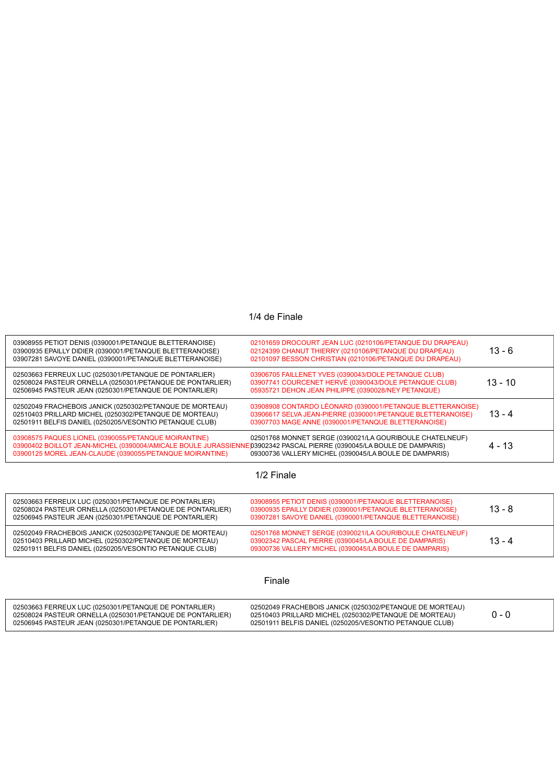## 1/4 de Finale

| 03908955 PETIOT DENIS (0390001/PETANQUE BLETTERANOISE)<br>03900935 EPAILLY DIDIER (0390001/PETANQUE BLETTERANOISE)<br>03907281 SAVOYE DANIEL (0390001/PETANQUE BLETTERANOISE)                                                             | 02101659 DROCOURT JEAN LUC (0210106/PETANQUE DU DRAPEAU)<br>02124399 CHANUT THIERRY (0210106/PETANQUE DU DRAPEAU)<br>02101097 BESSON CHRISTIAN (0210106/PETANQUE DU DRAPEAU)                                                                                                                                                                                                                                                                                | $13 - 6$  |  |
|-------------------------------------------------------------------------------------------------------------------------------------------------------------------------------------------------------------------------------------------|-------------------------------------------------------------------------------------------------------------------------------------------------------------------------------------------------------------------------------------------------------------------------------------------------------------------------------------------------------------------------------------------------------------------------------------------------------------|-----------|--|
| 02503663 FERREUX LUC (0250301/PETANQUE DE PONTARLIER)<br>02508024 PASTEUR ORNELLA (0250301/PETANQUE DE PONTARLIER)<br>02506945 PASTEUR JEAN (0250301/PETANQUE DE PONTARLIER)                                                              | 03906705 FAILLENET YVES (0390043/DOLE PETANQUE CLUB)<br>03907741 COURCENET HERVÉ (0390043/DOLE PETANQUE CLUB)<br>05935721 DEHON JEAN PHILIPPE (0390028/NEY PETANQUE)                                                                                                                                                                                                                                                                                        | $13 - 10$ |  |
| 02502049 FRACHEBOIS JANICK (0250302/PETANQUE DE MORTEAU)<br>02510403 PRILLARD MICHEL (0250302/PETANQUE DE MORTEAU)<br>02501911 BELFIS DANIEL (0250205/VESONTIO PETANQUE CLUB)                                                             | 03908908 CONTARDO LÉONARD (0390001/PETANQUE BLETTERANOISE)<br>03906617 SELVA JEAN-PIERRE (0390001/PETANQUE BLETTERANOISE)<br>03907703 MAGE ANNE (0390001/PETANQUE BLETTERANOISE)                                                                                                                                                                                                                                                                            | $13 - 4$  |  |
| 03908575 PAQUES LIONEL (0390055/PETANQUE MOIRANTINE)<br>03900402 BOILLOT JEAN-MICHEL (0390004/AMICALE BOULE JURASSIENNE)03902342 PASCAL PIERRE (0390045/LA BOULE DE DAMPARIS)<br>03900125 MOREL JEAN-CLAUDE (0390055/PETANQUE MOIRANTINE) | 02501768 MONNET SERGE (0390021/LA GOURIBOULE CHATELNEUF)<br>09300736 VALLERY MICHEL (0390045/LA BOULE DE DAMPARIS)                                                                                                                                                                                                                                                                                                                                          | $4 - 13$  |  |
|                                                                                                                                                                                                                                           | 1/2 Finale                                                                                                                                                                                                                                                                                                                                                                                                                                                  |           |  |
| 02503663 FERREUX LUC (0250301/PETANQUE DE PONTARLIER)<br>02508024 PASTEUR ORNELLA (0250301/PETANQUE DE PONTARLIER)<br>02506945 PASTEUR JEAN (0250301/PETANQUE DE PONTARLIER)                                                              | 03908955 PETIOT DENIS (0390001/PETANQUE BLETTERANOISE)<br>03900935 EPAILLY DIDIER (0390001/PETANQUE BLETTERANOISE)<br>03907281 SAVOYE DANIEL (0390001/PETANQUE BLETTERANOISE)                                                                                                                                                                                                                                                                               | $13 - 8$  |  |
| 02502049 FRACHEBOIS JANICK (0250302/PETANQUE DE MORTEAU)<br>02510403 PRILLARD MICHEL (0250302/PETANQUE DE MORTEAU)<br>02501911 BELFIS DANIEL (0250205/VESONTIO PETANQUE CLUB)                                                             | 02501768 MONNET SERGE (0390021/LA GOURIBOULE CHATELNEUF)<br>03902342 PASCAL PIERRE (0390045/LA BOULE DE DAMPARIS)<br>09300736 VALLERY MICHEL (0390045/LA BOULE DE DAMPARIS)                                                                                                                                                                                                                                                                                 | $13 - 4$  |  |
| Finale                                                                                                                                                                                                                                    |                                                                                                                                                                                                                                                                                                                                                                                                                                                             |           |  |
|                                                                                                                                                                                                                                           | $\mathcal{L}(\mathcal{L}(\mathcal{L}(\mathcal{L}(\mathcal{L}(\mathcal{L}(\mathcal{L}(\mathcal{L}(\mathcal{L}(\mathcal{L}(\mathcal{L}(\mathcal{L}(\mathcal{L}(\mathcal{L}(\mathcal{L}(\mathcal{L}(\mathcal{L}(\mathcal{L}(\mathcal{L}(\mathcal{L}(\mathcal{L}(\mathcal{L}(\mathcal{L}(\mathcal{L}(\mathcal{L}(\mathcal{L}(\mathcal{L}(\mathcal{L}(\mathcal{L}(\mathcal{L}(\mathcal{L}(\mathcal{L}(\mathcal{L}(\mathcal{L}(\mathcal{L}(\mathcal{L}(\mathcal{$ |           |  |

| 02503663 FERREUX LUC (0250301/PETANQUE DE PONTARLIER)     | 02502049 FRACHEBOIS JANICK (0250302/PETANQUE DE MORTEAU) |       |
|-----------------------------------------------------------|----------------------------------------------------------|-------|
| 02508024 PASTEUR ORNELLA (0250301/PETANQUE DE PONTARLIER) | 02510403 PRILLARD MICHEL (0250302/PETANQUE DE MORTEAU)   | ი - ი |
| 02506945 PASTEUR JEAN (0250301/PETANQUE DE PONTARLIER)    | 02501911 BELFIS DANIEL (0250205/VESONTIO PETANQUE CLUB)  |       |